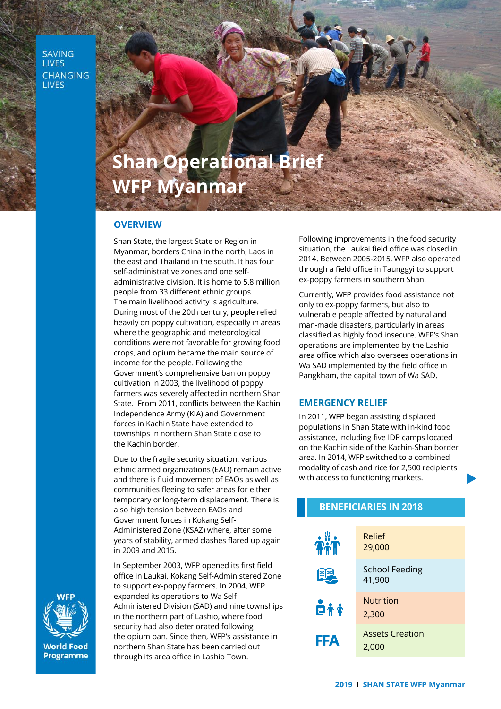**SAVING LIVES CHANGING LIVES** 

# **Shan Operational Brief WFP Myanmar**

#### **OVERVIEW**

Shan State, the largest State or Region in Myanmar, borders China in the north, Laos in the east and Thailand in the south. It has four self-administrative zones and one selfadministrative division. It is home to 5.8 million people from 33 different ethnic groups. The main livelihood activity is agriculture. During most of the 20th century, people relied heavily on poppy cultivation, especially in areas where the geographic and meteorological conditions were not favorable for growing food crops, and opium became the main source of income for the people. Following the Government's comprehensive ban on poppy cultivation in 2003, the livelihood of poppy farmers was severely affected in northern Shan State. From 2011, conflicts between the Kachin Independence Army (KIA) and Government forces in Kachin State have extended to townships in northern Shan State close to the Kachin border.

Due to the fragile security situation, various ethnic armed organizations (EAO) remain active and there is fluid movement of EAOs as well as communities fleeing to safer areas for either temporary or long-term displacement. There is also high tension between EAOs and Government forces in Kokang Self-Administered Zone (KSAZ) where, after some years of stability, armed clashes flared up again in 2009 and 2015.

In September 2003, WFP opened its first field office in Laukai, Kokang Self-Administered Zone to support ex-poppy farmers. In 2004, WFP expanded its operations to Wa Self-Administered Division (SAD) and nine townships in the northern part of Lashio, where food security had also deteriorated following the opium ban. Since then, WFP's assistance in northern Shan State has been carried out through its area office in Lashio Town.

Following improvements in the food security situation, the Laukai field office was closed in 2014. Between 2005-2015, WFP also operated through a field office in Taunggyi to support ex-poppy farmers in southern Shan.

Currently, WFP provides food assistance not only to ex-poppy farmers, but also to vulnerable people affected by natural and man-made disasters, particularly in areas classified as highly food insecure. WFP's Shan operations are implemented by the Lashio area office which also oversees operations in Wa SAD implemented by the field office in Pangkham, the capital town of Wa SAD.

## **EMERGENCY RELIEF**

In 2011, WFP began assisting displaced populations in Shan State with in-kind food assistance, including five IDP camps located on the Kachin side of the Kachin-Shan border area. In 2014, WFP switched to a combined modality of cash and rice for 2,500 recipients with access to functioning markets.

| <b>BENEFICIARIES IN 2018</b> |                                 |
|------------------------------|---------------------------------|
| <b>Tril</b>                  | Relief<br>29,000                |
|                              | <b>School Feeding</b><br>41,900 |
| <b>Pii</b>                   | <b>Nutrition</b><br>2,300       |
| <b>FFA</b>                   | <b>Assets Creation</b><br>2,000 |



**World Food** Programme